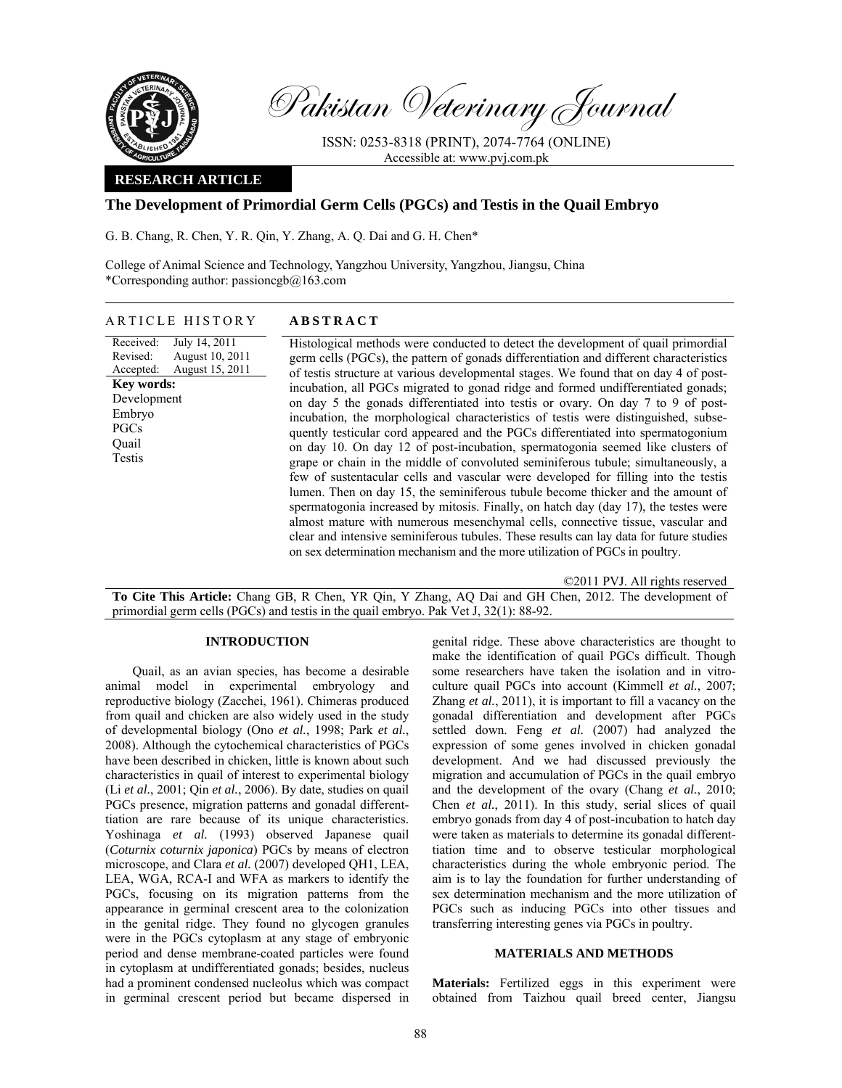

Pakistan Veterinary Journal

ISSN: 0253-8318 (PRINT), 2074-7764 (ONLINE) Accessible at: www.pvj.com.pk

## **RESEARCH ARTICLE**

# **The Development of Primordial Germ Cells (PGCs) and Testis in the Quail Embryo**

G. B. Chang, R. Chen, Y. R. Qin, Y. Zhang, A. Q. Dai and G. H. Chen\*

College of Animal Science and Technology, Yangzhou University, Yangzhou, Jiangsu, China \*Corresponding author: passioncgb $@163$ .com

#### ARTICLE HISTORY **ABSTRACT**

Received: Revised: Accepted: July 14, 2011 August 10, 2011 August 15, 2011 **Key words:**  Development Embryo PGCs Quail Testis

Histological methods were conducted to detect the development of quail primordial germ cells (PGCs), the pattern of gonads differentiation and different characteristics of testis structure at various developmental stages. We found that on day 4 of postincubation, all PGCs migrated to gonad ridge and formed undifferentiated gonads; on day 5 the gonads differentiated into testis or ovary. On day 7 to 9 of postincubation, the morphological characteristics of testis were distinguished, subsequently testicular cord appeared and the PGCs differentiated into spermatogonium on day 10. On day 12 of post-incubation, spermatogonia seemed like clusters of grape or chain in the middle of convoluted seminiferous tubule; simultaneously, a few of sustentacular cells and vascular were developed for filling into the testis lumen. Then on day 15, the seminiferous tubule become thicker and the amount of spermatogonia increased by mitosis. Finally, on hatch day (day 17), the testes were almost mature with numerous mesenchymal cells, connective tissue, vascular and clear and intensive seminiferous tubules. These results can lay data for future studies on sex determination mechanism and the more utilization of PGCs in poultry.

©2011 PVJ. All rights reserved **To Cite This Article:** Chang GB, R Chen, YR Qin, Y Zhang, AQ Dai and GH Chen, 2012. The development of primordial germ cells (PGCs) and testis in the quail embryo. Pak Vet J, 32(1): 88-92.

#### **INTRODUCTION**

Quail, as an avian species, has become a desirable animal model in experimental embryology and reproductive biology (Zacchei, 1961). Chimeras produced from quail and chicken are also widely used in the study of developmental biology (Ono *et al.*, 1998; Park *et al.*, 2008). Although the cytochemical characteristics of PGCs have been described in chicken, little is known about such characteristics in quail of interest to experimental biology (Li *et al.*, 2001; Qin *et al.*, 2006). By date, studies on quail PGCs presence, migration patterns and gonadal differenttiation are rare because of its unique characteristics. Yoshinaga *et al.* (1993) observed Japanese quail (*Coturnix coturnix japonica*) PGCs by means of electron microscope, and Clara *et al.* (2007) developed QH1, LEA, LEA, WGA, RCA-I and WFA as markers to identify the PGCs, focusing on its migration patterns from the appearance in germinal crescent area to the colonization in the genital ridge. They found no glycogen granules were in the PGCs cytoplasm at any stage of embryonic period and dense membrane-coated particles were found in cytoplasm at undifferentiated gonads; besides, nucleus had a prominent condensed nucleolus which was compact in germinal crescent period but became dispersed in genital ridge. These above characteristics are thought to make the identification of quail PGCs difficult. Though some researchers have taken the isolation and in vitroculture quail PGCs into account (Kimmell *et al.*, 2007; Zhang *et al.*, 2011), it is important to fill a vacancy on the gonadal differentiation and development after PGCs settled down. Feng *et al.* (2007) had analyzed the expression of some genes involved in chicken gonadal development. And we had discussed previously the migration and accumulation of PGCs in the quail embryo and the development of the ovary (Chang *et al.*, 2010; Chen *et al.*, 2011). In this study, serial slices of quail embryo gonads from day 4 of post-incubation to hatch day were taken as materials to determine its gonadal differenttiation time and to observe testicular morphological characteristics during the whole embryonic period. The aim is to lay the foundation for further understanding of sex determination mechanism and the more utilization of PGCs such as inducing PGCs into other tissues and transferring interesting genes via PGCs in poultry.

## **MATERIALS AND METHODS**

**Materials:** Fertilized eggs in this experiment were obtained from Taizhou quail breed center, Jiangsu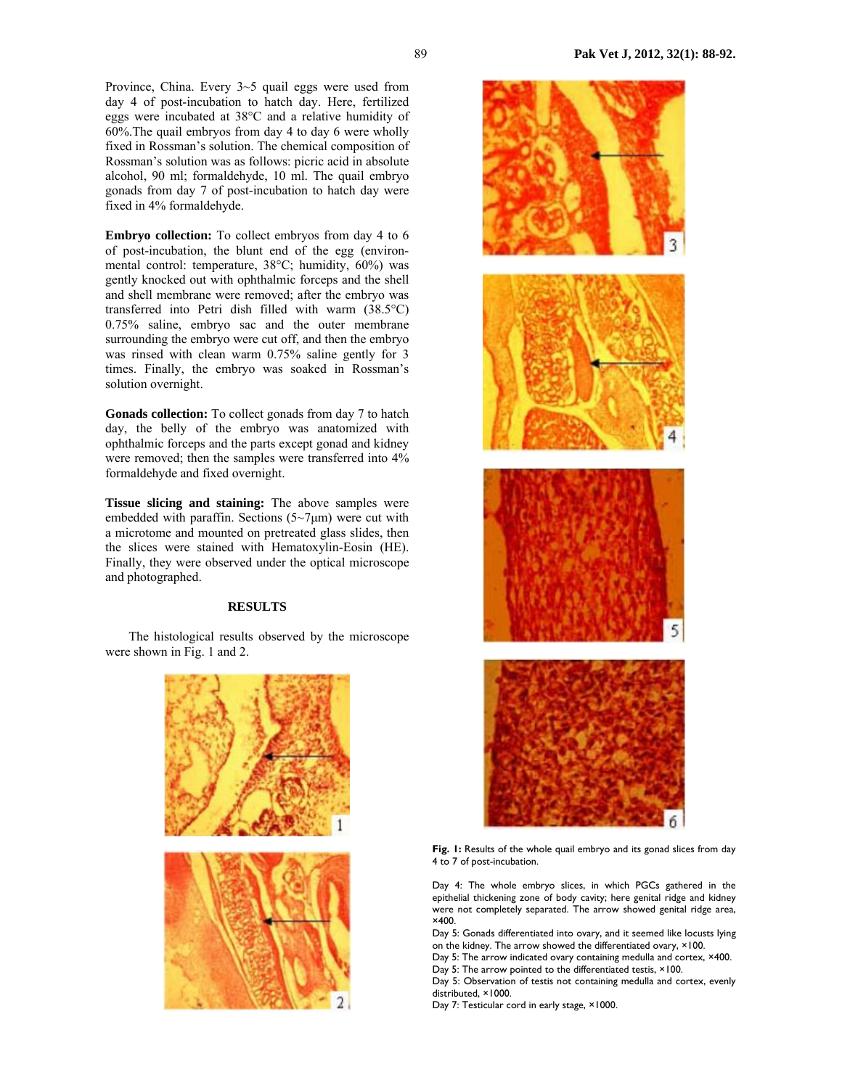Province, China. Every 3~5 quail eggs were used from day 4 of post-incubation to hatch day. Here, fertilized eggs were incubated at 38°C and a relative humidity of 60%.The quail embryos from day 4 to day 6 were wholly fixed in Rossman's solution. The chemical composition of Rossman's solution was as follows: picric acid in absolute alcohol, 90 ml; formaldehyde, 10 ml. The quail embryo gonads from day 7 of post-incubation to hatch day were fixed in 4% formaldehyde.

**Embryo collection:** To collect embryos from day 4 to 6 of post-incubation, the blunt end of the egg (environmental control: temperature, 38°C; humidity, 60%) was gently knocked out with ophthalmic forceps and the shell and shell membrane were removed; after the embryo was transferred into Petri dish filled with warm (38.5°C) 0.75% saline, embryo sac and the outer membrane surrounding the embryo were cut off, and then the embryo was rinsed with clean warm 0.75% saline gently for 3 times. Finally, the embryo was soaked in Rossman's solution overnight.

**Gonads collection:** To collect gonads from day 7 to hatch day, the belly of the embryo was anatomized with ophthalmic forceps and the parts except gonad and kidney were removed; then the samples were transferred into 4% formaldehyde and fixed overnight.

**Tissue slicing and staining:** The above samples were embedded with paraffin. Sections  $(5\neg 7\mu m)$  were cut with a microtome and mounted on pretreated glass slides, then the slices were stained with Hematoxylin-Eosin (HE). Finally, they were observed under the optical microscope and photographed.

## **RESULTS**

The histological results observed by the microscope were shown in Fig. 1 and 2.





Fig. 1: Results of the whole quail embryo and its gonad slices from day 4 to 7 of post-incubation.

Day 4: The whole embryo slices, in which PGCs gathered in the epithelial thickening zone of body cavity; here genital ridge and kidney were not completely separated. The arrow showed genital ridge area, ×400.

Day 5: Gonads differentiated into ovary, and it seemed like locusts lying on the kidney. The arrow showed the differentiated ovary, ×100.

Day 5: The arrow indicated ovary containing medulla and cortex, ×400.

Day 5: The arrow pointed to the differentiated testis,  $\times$  100.

Day 5: Observation of testis not containing medulla and cortex, evenly distributed, ×1000.

Day 7: Testicular cord in early stage, ×1000.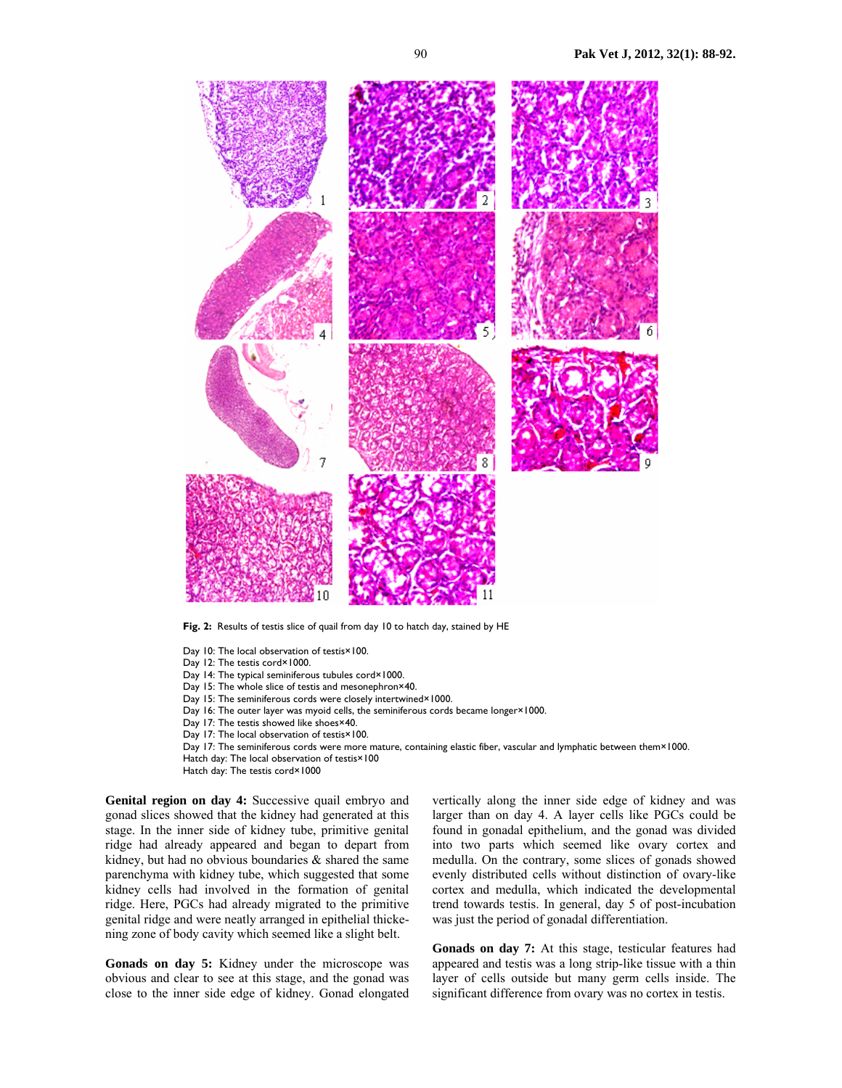

**Fig. 2:** Results of testis slice of quail from day 10 to hatch day, stained by HE

- Day 10: The local observation of testis×100.
- Day 12: The testis cord×1000.
- Day 14: The typical seminiferous tubules cord×1000.
- Day 15: The whole slice of testis and mesonephron×40.
- Day 15: The seminiferous cords were closely intertwined×1000.
- Day 16: The outer layer was myoid cells, the seminiferous cords became longer×1000.
- Day 17: The testis showed like shoes×40.
- Day 17: The local observation of testis×100.
- Day 17: The seminiferous cords were more mature, containing elastic fiber, vascular and lymphatic between them×1000.
- Hatch day: The local observation of testis×100
- Hatch day: The testis cord×1000

**Genital region on day 4:** Successive quail embryo and gonad slices showed that the kidney had generated at this stage. In the inner side of kidney tube, primitive genital ridge had already appeared and began to depart from kidney, but had no obvious boundaries & shared the same parenchyma with kidney tube, which suggested that some kidney cells had involved in the formation of genital ridge. Here, PGCs had already migrated to the primitive genital ridge and were neatly arranged in epithelial thickening zone of body cavity which seemed like a slight belt.

**Gonads on day 5:** Kidney under the microscope was obvious and clear to see at this stage, and the gonad was close to the inner side edge of kidney. Gonad elongated vertically along the inner side edge of kidney and was larger than on day 4. A layer cells like PGCs could be found in gonadal epithelium, and the gonad was divided into two parts which seemed like ovary cortex and medulla. On the contrary, some slices of gonads showed evenly distributed cells without distinction of ovary-like cortex and medulla, which indicated the developmental trend towards testis. In general, day 5 of post-incubation was just the period of gonadal differentiation.

**Gonads on day 7:** At this stage, testicular features had appeared and testis was a long strip-like tissue with a thin layer of cells outside but many germ cells inside. The significant difference from ovary was no cortex in testis.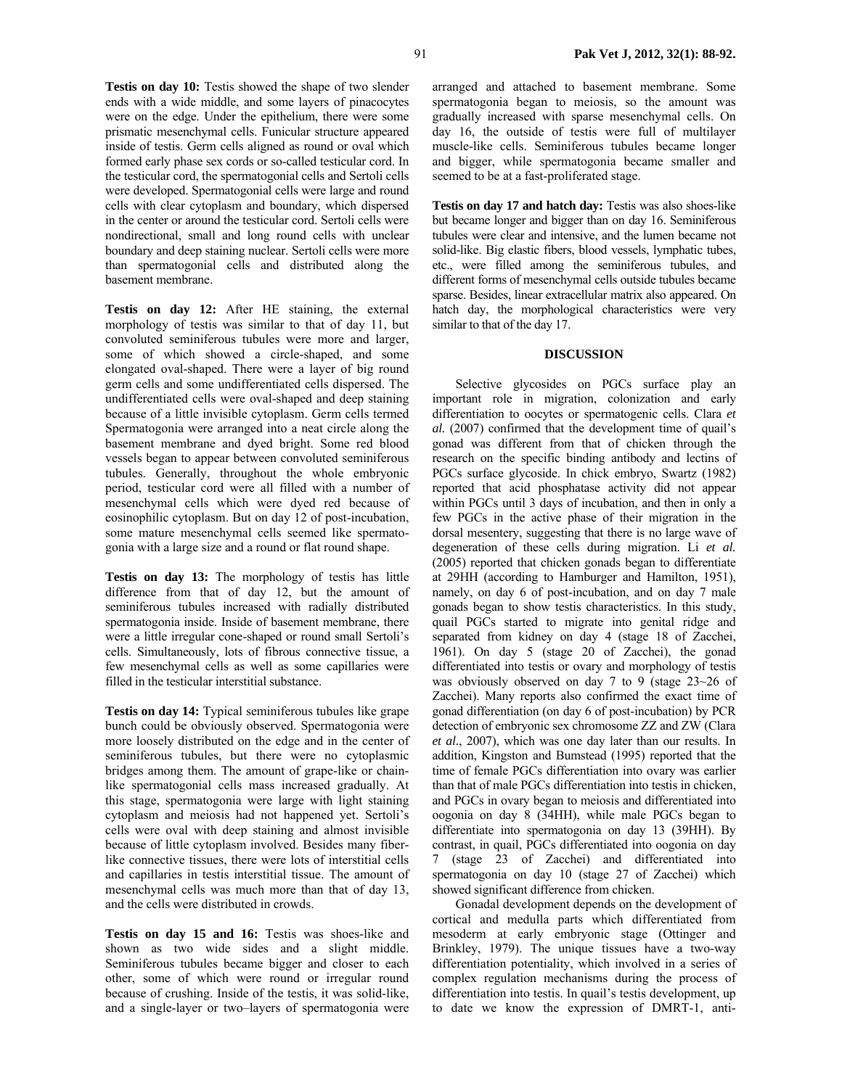**Testis on day 10:** Testis showed the shape of two slender ends with a wide middle, and some layers of pinacocytes were on the edge. Under the epithelium, there were some prismatic mesenchymal cells. Funicular structure appeared inside of testis. Germ cells aligned as round or oval which formed early phase sex cords or so-called testicular cord. In the testicular cord, the spermatogonial cells and Sertoli cells were developed. Spermatogonial cells were large and round cells with clear cytoplasm and boundary, which dispersed in the center or around the testicular cord. Sertoli cells were nondirectional, small and long round cells with unclear boundary and deep staining nuclear. Sertoli cells were more than spermatogonial cells and distributed along the basement membrane.

**Testis on day 12:** After HE staining, the external morphology of testis was similar to that of day 11, but convoluted seminiferous tubules were more and larger, some of which showed a circle-shaped, and some elongated oval-shaped. There were a layer of big round germ cells and some undifferentiated cells dispersed. The undifferentiated cells were oval-shaped and deep staining because of a little invisible cytoplasm. Germ cells termed Spermatogonia were arranged into a neat circle along the basement membrane and dyed bright. Some red blood vessels began to appear between convoluted seminiferous tubules. Generally, throughout the whole embryonic period, testicular cord were all filled with a number of mesenchymal cells which were dyed red because of eosinophilic cytoplasm. But on day 12 of post-incubation, some mature mesenchymal cells seemed like spermatogonia with a large size and a round or flat round shape.

**Testis on day 13:** The morphology of testis has little difference from that of day 12, but the amount of seminiferous tubules increased with radially distributed spermatogonia inside. Inside of basement membrane, there were a little irregular cone-shaped or round small Sertoli's cells. Simultaneously, lots of fibrous connective tissue, a few mesenchymal cells as well as some capillaries were filled in the testicular interstitial substance.

**Testis on day 14:** Typical seminiferous tubules like grape bunch could be obviously observed. Spermatogonia were more loosely distributed on the edge and in the center of seminiferous tubules, but there were no cytoplasmic bridges among them. The amount of grape-like or chainlike spermatogonial cells mass increased gradually. At this stage, spermatogonia were large with light staining cytoplasm and meiosis had not happened yet. Sertoli's cells were oval with deep staining and almost invisible because of little cytoplasm involved. Besides many fiberlike connective tissues, there were lots of interstitial cells and capillaries in testis interstitial tissue. The amount of mesenchymal cells was much more than that of day 13, and the cells were distributed in crowds.

**Testis on day 15 and 16:** Testis was shoes-like and shown as two wide sides and a slight middle. Seminiferous tubules became bigger and closer to each other, some of which were round or irregular round because of crushing. Inside of the testis, it was solid-like, and a single-layer or two–layers of spermatogonia were arranged and attached to basement membrane. Some spermatogonia began to meiosis, so the amount was gradually increased with sparse mesenchymal cells. On day 16, the outside of testis were full of multilayer muscle-like cells. Seminiferous tubules became longer and bigger, while spermatogonia became smaller and seemed to be at a fast-proliferated stage.

**Testis on day 17 and hatch day:** Testis was also shoes-like but became longer and bigger than on day 16. Seminiferous tubules were clear and intensive, and the lumen became not solid-like. Big elastic fibers, blood vessels, lymphatic tubes, etc., were filled among the seminiferous tubules, and different forms of mesenchymal cells outside tubules became sparse. Besides, linear extracellular matrix also appeared. On hatch day, the morphological characteristics were very similar to that of the day 17.

## **DISCUSSION**

Selective glycosides on PGCs surface play an important role in migration, colonization and early differentiation to oocytes or spermatogenic cells. Clara *et al.* (2007) confirmed that the development time of quail's gonad was different from that of chicken through the research on the specific binding antibody and lectins of PGCs surface glycoside. In chick embryo, Swartz (1982) reported that acid phosphatase activity did not appear within PGCs until 3 days of incubation, and then in only a few PGCs in the active phase of their migration in the dorsal mesentery, suggesting that there is no large wave of degeneration of these cells during migration. Li *et al.* (2005) reported that chicken gonads began to differentiate at 29HH (according to Hamburger and Hamilton, 1951), namely, on day 6 of post-incubation, and on day 7 male gonads began to show testis characteristics. In this study, quail PGCs started to migrate into genital ridge and separated from kidney on day 4 (stage 18 of Zacchei, 1961). On day 5 (stage 20 of Zacchei), the gonad differentiated into testis or ovary and morphology of testis was obviously observed on day 7 to 9 (stage 23~26 of Zacchei). Many reports also confirmed the exact time of gonad differentiation (on day 6 of post-incubation) by PCR detection of embryonic sex chromosome ZZ and ZW (Clara *et al.*, 2007), which was one day later than our results. In addition, Kingston and Bumstead (1995) reported that the time of female PGCs differentiation into ovary was earlier than that of male PGCs differentiation into testis in chicken, and PGCs in ovary began to meiosis and differentiated into oogonia on day 8 (34HH), while male PGCs began to differentiate into spermatogonia on day 13 (39HH). By contrast, in quail, PGCs differentiated into oogonia on day 7 (stage 23 of Zacchei) and differentiated into spermatogonia on day 10 (stage 27 of Zacchei) which showed significant difference from chicken.

Gonadal development depends on the development of cortical and medulla parts which differentiated from mesoderm at early embryonic stage (Ottinger and Brinkley, 1979). The unique tissues have a two-way differentiation potentiality, which involved in a series of complex regulation mechanisms during the process of differentiation into testis. In quail's testis development, up to date we know the expression of DMRT-1, anti